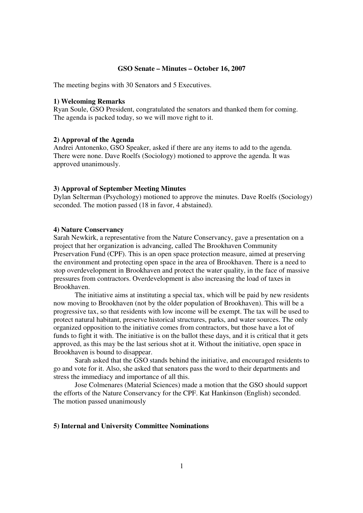### **GSO Senate – Minutes – October 16, 2007**

The meeting begins with 30 Senators and 5 Executives.

#### **1) Welcoming Remarks**

Ryan Soule, GSO President, congratulated the senators and thanked them for coming. The agenda is packed today, so we will move right to it.

#### **2) Approval of the Agenda**

Andrei Antonenko, GSO Speaker, asked if there are any items to add to the agenda. There were none. Dave Roelfs (Sociology) motioned to approve the agenda. It was approved unanimously.

#### **3) Approval of September Meeting Minutes**

Dylan Selterman (Psychology) motioned to approve the minutes. Dave Roelfs (Sociology) seconded. The motion passed (18 in favor, 4 abstained).

### **4) Nature Conservancy**

Sarah Newkirk, a representative from the Nature Conservancy, gave a presentation on a project that her organization is advancing, called The Brookhaven Community Preservation Fund (CPF). This is an open space protection measure, aimed at preserving the environment and protecting open space in the area of Brookhaven. There is a need to stop overdevelopment in Brookhaven and protect the water quality, in the face of massive pressures from contractors. Overdevelopment is also increasing the load of taxes in Brookhaven.

The initiative aims at instituting a special tax, which will be paid by new residents now moving to Brookhaven (not by the older population of Brookhaven). This will be a progressive tax, so that residents with low income will be exempt. The tax will be used to protect natural habitant, preserve historical structures, parks, and water sources. The only organized opposition to the initiative comes from contractors, but those have a lot of funds to fight it with. The initiative is on the ballot these days, and it is critical that it gets approved, as this may be the last serious shot at it. Without the initiative, open space in Brookhaven is bound to disappear.

Sarah asked that the GSO stands behind the initiative, and encouraged residents to go and vote for it. Also, she asked that senators pass the word to their departments and stress the immediacy and importance of all this.

Jose Colmenares (Material Sciences) made a motion that the GSO should support the efforts of the Nature Conservancy for the CPF. Kat Hankinson (English) seconded. The motion passed unanimously

### **5) Internal and University Committee Nominations**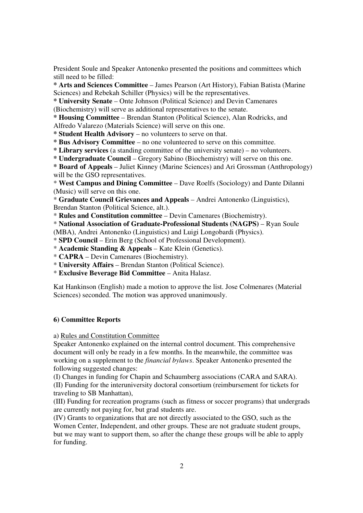President Soule and Speaker Antonenko presented the positions and committees which still need to be filled:

**\* Arts and Sciences Committee** – James Pearson (Art History), Fabian Batista (Marine Sciences) and Rebekah Schiller (Physics) will be the representatives.

**\* University Senate** – Onte Johnson (Political Science) and Devin Camenares (Biochemistry) will serve as additional representatives to the senate.

**\* Housing Committee** – Brendan Stanton (Political Science), Alan Rodricks, and

Alfredo Valarezo (Materials Science) will serve on this one.

**\* Student Health Advisory** – no volunteers to serve on that.

**\* Bus Advisory Committee** – no one volunteered to serve on this committee.

**\* Library services** (a standing committee of the university senate) – no volunteers.

**\* Undergraduate Council** – Gregory Sabino (Biochemistry) will serve on this one.

**\* Board of Appeals** – Juliet Kinney (Marine Sciences) and Ari Grossman (Anthropology) will be the GSO representatives.

\* **West Campus and Dining Committee** – Dave Roelfs (Sociology) and Dante Dilanni (Music) will serve on this one.

\* **Graduate Council Grievances and Appeals** – Andrei Antonenko (Linguistics), Brendan Stanton (Political Science, alt.).

\* **Rules and Constitution committee** – Devin Camenares (Biochemistry).

\* **National Association of Graduate-Professional Students (NAGPS)** – Ryan Soule (MBA), Andrei Antonenko (Linguistics) and Luigi Longobardi (Physics).

\* **SPD Council** – Erin Berg (School of Professional Development).

\* **Academic Standing & Appeals** – Kate Klein (Genetics).

\* **CAPRA** – Devin Camenares (Biochemistry).

\* **University Affairs** – Brendan Stanton (Political Science).

\* **Exclusive Beverage Bid Committee** – Anita Halasz.

Kat Hankinson (English) made a motion to approve the list. Jose Colmenares (Material Sciences) seconded. The motion was approved unanimously.

## **6) Committee Reports**

a) Rules and Constitution Committee

Speaker Antonenko explained on the internal control document. This comprehensive document will only be ready in a few months. In the meanwhile, the committee was working on a supplement to the *financial bylaws*. Speaker Antonenko presented the following suggested changes:

(I) Changes in funding for Chapin and Schaumberg associations (CARA and SARA). (II) Funding for the interuniversity doctoral consortium (reimbursement for tickets for traveling to SB Manhattan),

(III) Funding for recreation programs (such as fitness or soccer programs) that undergrads are currently not paying for, but grad students are.

(IV) Grants to organizations that are not directly associated to the GSO, such as the Women Center, Independent, and other groups. These are not graduate student groups, but we may want to support them, so after the change these groups will be able to apply for funding.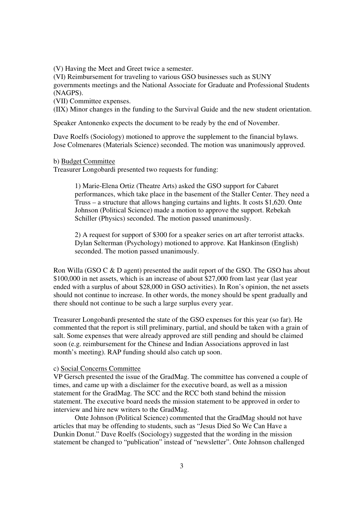(V) Having the Meet and Greet twice a semester.

(VI) Reimbursement for traveling to various GSO businesses such as SUNY

governments meetings and the National Associate for Graduate and Professional Students (NAGPS).

(VII) Committee expenses.

(IIX) Minor changes in the funding to the Survival Guide and the new student orientation.

Speaker Antonenko expects the document to be ready by the end of November.

Dave Roelfs (Sociology) motioned to approve the supplement to the financial bylaws. Jose Colmenares (Materials Science) seconded. The motion was unanimously approved.

### b) Budget Committee

Treasurer Longobardi presented two requests for funding:

1) Marie-Elena Ortiz (Theatre Arts) asked the GSO support for Cabaret performances, which take place in the basement of the Staller Center. They need a Truss – a structure that allows hanging curtains and lights. It costs \$1,620. Onte Johnson (Political Science) made a motion to approve the support. Rebekah Schiller (Physics) seconded. The motion passed unanimously.

2) A request for support of \$300 for a speaker series on art after terrorist attacks. Dylan Selterman (Psychology) motioned to approve. Kat Hankinson (English) seconded. The motion passed unanimously.

Ron Willa (GSO C & D agent) presented the audit report of the GSO. The GSO has about \$100,000 in net assets, which is an increase of about \$27,000 from last year (last year) ended with a surplus of about \$28,000 in GSO activities). In Ron's opinion, the net assets should not continue to increase. In other words, the money should be spent gradually and there should not continue to be such a large surplus every year.

Treasurer Longobardi presented the state of the GSO expenses for this year (so far). He commented that the report is still preliminary, partial, and should be taken with a grain of salt. Some expenses that were already approved are still pending and should be claimed soon (e.g. reimbursement for the Chinese and Indian Associations approved in last month's meeting). RAP funding should also catch up soon.

#### c) Social Concerns Committee

VP Gersch presented the issue of the GradMag. The committee has convened a couple of times, and came up with a disclaimer for the executive board, as well as a mission statement for the GradMag. The SCC and the RCC both stand behind the mission statement. The executive board needs the mission statement to be approved in order to interview and hire new writers to the GradMag.

Onte Johnson (Political Science) commented that the GradMag should not have articles that may be offending to students, such as "Jesus Died So We Can Have a Dunkin Donut." Dave Roelfs (Sociology) suggested that the wording in the mission statement be changed to "publication" instead of "newsletter". Onte Johnson challenged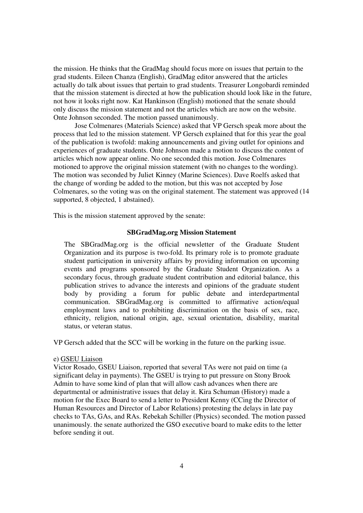the mission. He thinks that the GradMag should focus more on issues that pertain to the grad students. Eileen Chanza (English), GradMag editor answered that the articles actually do talk about issues that pertain to grad students. Treasurer Longobardi reminded that the mission statement is directed at how the publication should look like in the future, not how it looks right now. Kat Hankinson (English) motioned that the senate should only discuss the mission statement and not the articles which are now on the website. Onte Johnson seconded. The motion passed unanimously.

Jose Colmenares (Materials Science) asked that VP Gersch speak more about the process that led to the mission statement. VP Gersch explained that for this year the goal of the publication is twofold: making announcements and giving outlet for opinions and experiences of graduate students. Onte Johnson made a motion to discuss the content of articles which now appear online. No one seconded this motion. Jose Colmenares motioned to approve the original mission statement (with no changes to the wording). The motion was seconded by Juliet Kinney (Marine Sciences). Dave Roelfs asked that the change of wording be added to the motion, but this was not accepted by Jose Colmenares, so the voting was on the original statement. The statement was approved (14 supported, 8 objected, 1 abstained).

This is the mission statement approved by the senate:

### **SBGradMag.org Mission Statement**

The SBGradMag.org is the official newsletter of the Graduate Student Organization and its purpose is two-fold. Its primary role is to promote graduate student participation in university affairs by providing information on upcoming events and programs sponsored by the Graduate Student Organization. As a secondary focus, through graduate student contribution and editorial balance, this publication strives to advance the interests and opinions of the graduate student body by providing a forum for public debate and interdepartmental communication. SBGradMag.org is committed to affirmative action/equal employment laws and to prohibiting discrimination on the basis of sex, race, ethnicity, religion, national origin, age, sexual orientation, disability, marital status, or veteran status.

VP Gersch added that the SCC will be working in the future on the parking issue.

#### e) GSEU Liaison

Victor Rosado, GSEU Liaison, reported that several TAs were not paid on time (a significant delay in payments). The GSEU is trying to put pressure on Stony Brook Admin to have some kind of plan that will allow cash advances when there are departmental or administrative issues that delay it. Kira Schuman (History) made a motion for the Exec Board to send a letter to President Kenny (CCing the Director of Human Resources and Director of Labor Relations) protesting the delays in late pay checks to TAs, GAs, and RAs. Rebekah Schiller (Physics) seconded. The motion passed unanimously. the senate authorized the GSO executive board to make edits to the letter before sending it out.